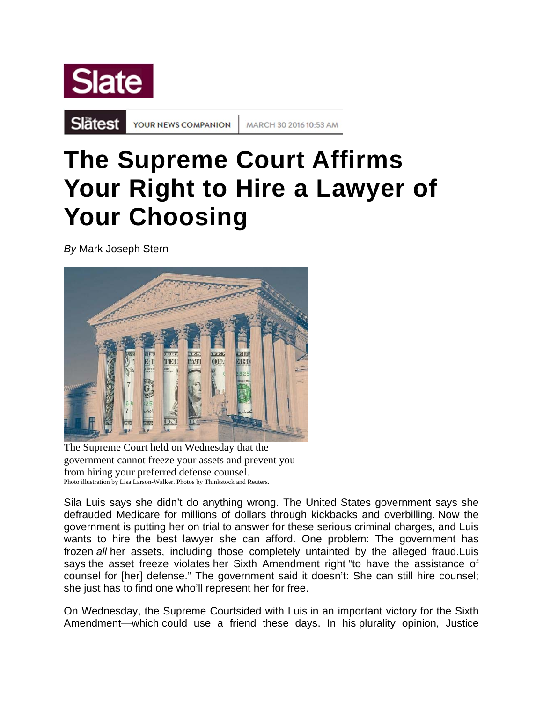

Slätest

YOUR NEWS COMPANION

MARCH 30 2016 10:53 AM

## **The Supreme Court Affirms Your Right to Hire a Lawyer of Your Choosing**

*By* Mark Joseph Stern



The Supreme Court held on Wednesday that the government cannot freeze your assets and prevent you from hiring your preferred defense counsel. Photo illustration by Lisa Larson-Walker. Photos by Thinkstock and Reuters.

Sila Luis says she didn't do anything wrong. The United States government says she defrauded Medicare for millions of dollars through kickbacks and overbilling. Now the government is putting her on trial to answer for these serious criminal charges, and Luis wants to hire the best lawyer she can afford. One problem: The government has frozen *all* her assets, including those completely untainted by the alleged fraud.Luis says the asset freeze violates her Sixth Amendment right "to have the assistance of counsel for [her] defense." The government said it doesn't: She can still hire counsel; she just has to find one who'll represent her for free.

On Wednesday, the Supreme Courtsided with Luis in an important victory for the Sixth Amendment—which could use a friend these days. In his plurality opinion, Justice